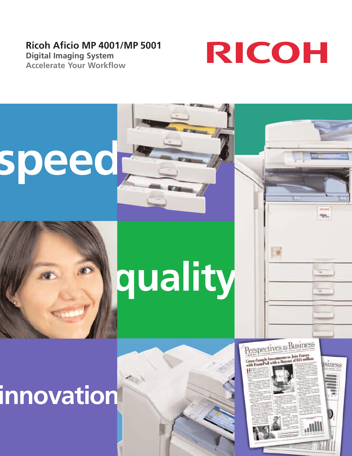## **Ricoh Aficio MP 4001/MP 5001**

**Digital Imaging System Accelerate Your Workflow**



# **speed**

## **quality**

## **innovation**



Alicio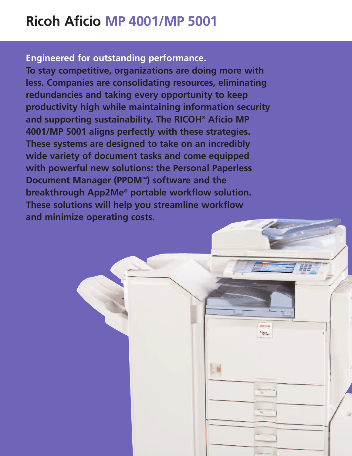## **Ricoh Aficio MP 4001/MP 5001**

**Engineered for outstanding performance.**

**To stay competitive, organizations are doing more with less. Companies are consolidating resources, eliminating redundancies and taking every opportunity to keep productivity high while maintaining information security and supporting sustainability. The RICOH® Aficio MP 4001/MP 5001 aligns perfectly with these strategies. These systems are designed to take on an incredibly wide variety of document tasks and come equipped with powerful new solutions: the Personal Paperless Document Manager (PPDM™) software and the breakthrough App2Me® portable workflow solution. These solutions will help you streamline workflow and minimize operating costs.**

> **RECOR Afficio**

 $\rm{m}$ 

 $200$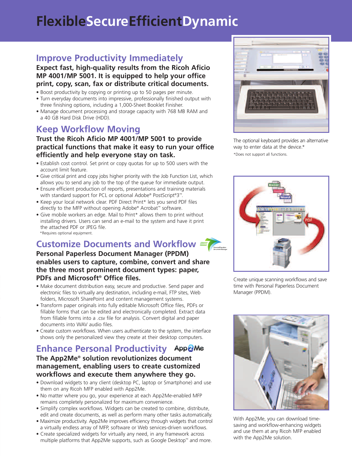## **FlexibleSecureEfficientDynamic**

## **Improve Productivity Immediately**

#### **Expect fast, high-quality results from the Ricoh Aficio MP 4001/MP 5001. It is equipped to help your office print, copy, scan, fax or distribute critical documents.**

- Boost productivity by copying or printing up to 50 pages per minute.
- Turn everyday documents into impressive, professionally finished output with three finishing options, including a 1,000-Sheet Booklet Finisher.
- Manage document processing and storage capacity with 768 MB RAM and a 40 GB Hard Disk Drive (HDD).

## **Keep Workflow Moving**

### **Trust the Ricoh Aficio MP 4001/MP 5001 to provide practical functions that make it easy to run your office efficiently and help everyone stay on task.**

- Establish cost control. Set print or copy quotas for up to 500 users with the account limit feature.
- Give critical print and copy jobs higher priority with the Job Function List, which allows you to send any job to the top of the queue for immediate output.
- Ensure efficient production of reports, presentations and training materials with standard support for PCL or optional Adobe® PostScript®3™.
- Keep your local network clear. PDF Direct Print\* lets you send PDF files directly to the MFP without opening Adobe® Acrobat™ software.
- Give mobile workers an edge. Mail to Print\* allows them to print without installing drivers. Users can send an e-mail to the system and have it print the attached PDF or JPEG file. \*Requires optional equipment.

## **Customize Documents and Workflow**

#### **Personal Paperless Document Manager (PPDM) enables users to capture, combine, convert and share the three most prominent document types: paper, PDFs and Microsoft® Office files.**

- Make document distribution easy, secure and productive. Send paper and electronic files to virtually any destination, including e-mail, FTP sites, Web folders, Microsoft SharePoint and content management systems.
- Transform paper originals into fully editable Microsoft Office files, PDFs or fillable forms that can be edited and electronically completed. Extract data from fillable forms into a .csv file for analysis. Convert digital and paper documents into WAV audio files.
- Create custom workflows. When users authenticate to the system, the interface shows only the personalized view they create at their desktop computers.

## **Enhance Personal Productivity**

#### **The App2Me® solution revolutionizes document management, enabling users to create customized workflows and execute them anywhere they go.**

- Download widgets to any client (desktop PC, laptop or Smartphone) and use them on any Ricoh MFP enabled with App2Me.
- No matter where you go, your experience at each App2Me-enabled MFP remains completely personalized for maximum convenience.
- Simplify complex workflows. Widgets can be created to combine, distribute, edit and create documents, as well as perform many other tasks automatically.
- Maximize productivity. App2Me improves efficiency through widgets that control a virtually endless array of MFP, software or Web services-driven workflows.
- Create specialized widgets for virtually any need, in any framework across multiple platforms that App2Me supports, such as Google Desktop™ and more.



The optional keyboard provides an alternative way to enter data at the device.\* \*Does not support all functions.



Create unique scanning workflows and save time with Personal Paperless Document Manager (PPDM).



With App2Me, you can download timesaving and workflow-enhancing widgets and use them at any Ricoh MFP enabled with the App2Me solution.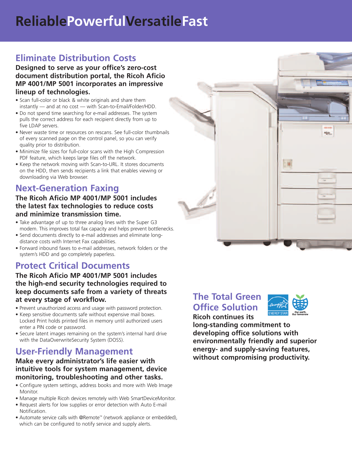## **ReliablePowerfulVersatileFast**

## **Eliminate Distribution Costs**

**Designed to serve as your office's zero-cost document distribution portal, the Ricoh Aficio MP 4001/MP 5001 incorporates an impressive lineup of technologies.**

- Scan full-color or black & white originals and share them instantly — and at no cost — with Scan-to-Email/Folder/HDD.
- Do not spend time searching for e-mail addresses. The system pulls the correct address for each recipient directly from up to five LDAP servers.
- Never waste time or resources on rescans. See full-color thumbnails of every scanned page on the control panel, so you can verify quality prior to distribution.
- Minimize file sizes for full-color scans with the High Compression PDF feature, which keeps large files off the network.
- Keep the network moving with Scan-to-URL. It stores documents on the HDD, then sends recipients a link that enables viewing or downloading via Web browser.

## **Next-Generation Faxing**

#### **The Ricoh Aficio MP 4001/MP 5001 includes the latest fax technologies to reduce costs and minimize transmission time.**

- Take advantage of up to three analog lines with the Super G3 modem. This improves total fax capacity and helps prevent bottlenecks.
- Send documents directly to e-mail addresses and eliminate longdistance costs with Internet Fax capabilities.
- Forward inbound faxes to e-mail addresses, network folders or the system's HDD and go completely paperless.

## **Protect Critical Documents**

#### **The Ricoh Aficio MP 4001/MP 5001 includes the high-end security technologies required to keep documents safe from a variety of threats at every stage of workflow.**

- Prevent unauthorized access and usage with password protection.
- Keep sensitive documents safe without expensive mail boxes. Locked Print holds printed files in memory until authorized users enter a PIN code or password.
- Secure latent images remaining on the system's internal hard drive with the DataOverwriteSecurity System (DOSS).

## **User-Friendly Management**

#### **Make every administrator's life easier with intuitive tools for system management, device monitoring, troubleshooting and other tasks.**

- Configure system settings, address books and more with Web Image Monitor.
- Manage multiple Ricoh devices remotely with Web SmartDeviceMonitor.
- Request alerts for low supplies or error detection with Auto E-mail Notification.
- Automate service calls with @Remote™ (network appliance or embedded), which can be configured to notify service and supply alerts.



## **The Total Green Office Solution Ricoh continues its**



**long-standing commitment to developing office solutions with environmentally friendly and superior energy- and supply-saving features, without compromising productivity.**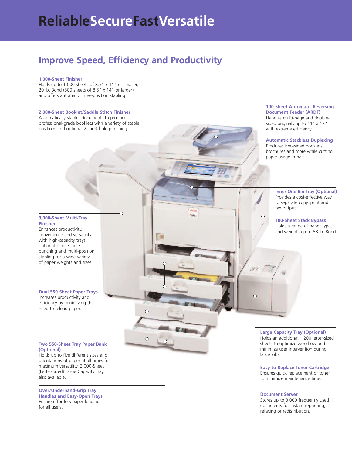## **ReliableSecureFastVersatile**

## **Improve Speed, Efficiency and Productivity**

#### **1,000-Sheet Finisher**

Holds up to 1,000 sheets of 8.5" x 11" or smaller, 20 lb. Bond (500 sheets of 8.5" x 14" or larger) and offers automatic three-position stapling.



refaxing or redistribution.

for all users.